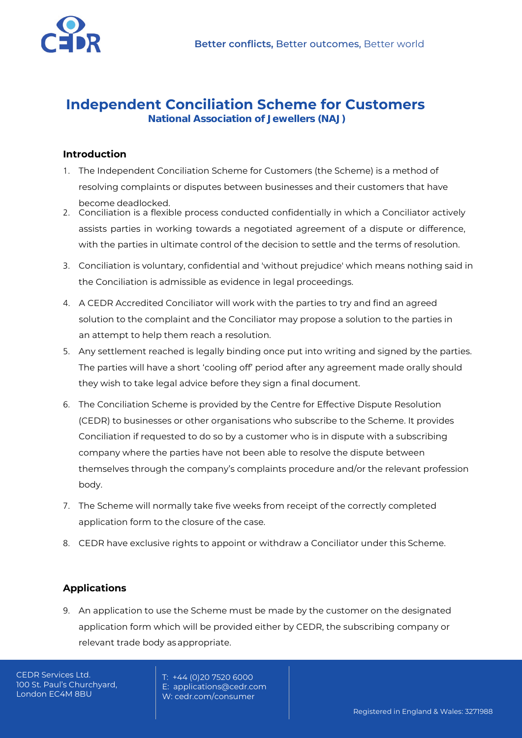

# **Independent Conciliation Scheme for Customers**

**National Association of Jewellers (NAJ)**

### **Introduction**

- 1. The Independent Conciliation Scheme for Customers (the Scheme) is a method of resolving complaints or disputes between businesses and their customers that have become deadlocked.
- 2. Conciliation is a flexible process conducted confidentially in which a Conciliator actively assists parties in working towards a negotiated agreement of a dispute or difference, with the parties in ultimate control of the decision to settle and the terms of resolution.
- 3. Conciliation is voluntary, confidential and 'without prejudice' which means nothing said in the Conciliation is admissible as evidence in legal proceedings.
- 4. A [CEDR Accredited Conciliator](http://www.cedr.com/skills/mediator/) will work with the parties to try and find an agreed solution to the complaint and the Conciliator may propose a solution to the parties in an attempt to help them reach a resolution.
- 5. Any settlement reached is legally binding once put into writing and signed by the parties. The parties will have a short 'cooling off' period after any agreement made orally should they wish to take legal advice before they sign a final document.
- 6. The Conciliation Scheme is provided by the Centre for Effective Dispute Resolution (CEDR) to businesses or other organisations who subscribe to the Scheme. It provides Conciliation if requested to do so by a customer who is in dispute with a subscribing company where the parties have not been able to resolve the dispute between themselves through the company's complaints procedure and/or the relevant profession body.
- 7. The Scheme will normally take five weeks from receipt of the correctly completed application form to the closure of the case.
- 8. CEDR have exclusive rights to appoint or withdraw a Conciliator under this Scheme.

# **Applications**

9. An application to use the Scheme must be made by the customer on the designated application form which will be provided either by CEDR, the subscribing company or relevant trade body asappropriate.

CEDR Services Ltd. 100 St. Paul's Churchyard, London EC4M 8BU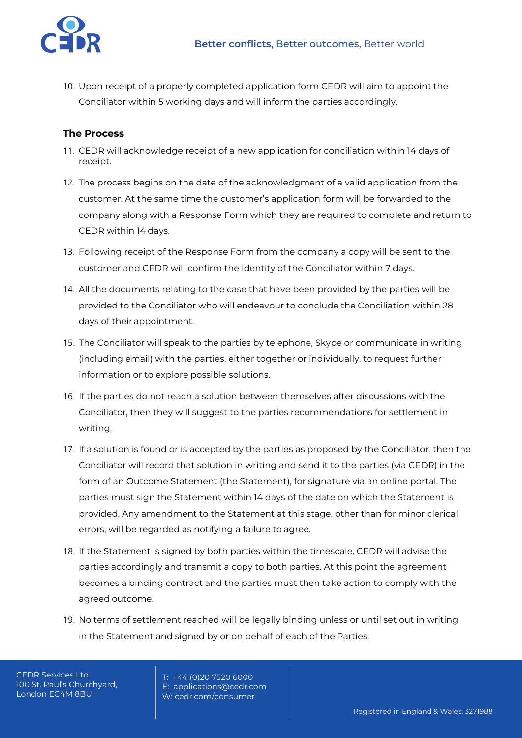

10. Upon receipt of a properly completed application form CEDR will aim to appoint the Conciliator within 5 working days and will inform the parties accordingly.

### **The Process**

- 11. CEDR will acknowledge receipt of a new application for conciliation within 14 days of receipt.
- 12. The process begins on the date of the acknowledgment of a valid application from the customer. At the same time the customer's application form will be forwarded to the company along with a Response Form which they are required to complete and return to CEDR within 14 days.
- 13. Following receipt of the Response Form from the company a copy will be sent to the customer and CEDR will confirm the identity of the Conciliator within 7 days.
- 14. All the documents relating to the case that have been provided by the parties will be provided to the Conciliator who will endeavour to conclude the Conciliation within 28 days of theirappointment.
- 15. The Conciliator will speak to the parties by telephone, Skype or communicate in writing (including email) with the parties, either together or individually, to request further information or to explore possible solutions.
- 16. If the parties do not reach a solution between themselves after discussions with the Conciliator, then they will suggest to the parties recommendations for settlement in writing.
- 17. If a solution is found or is accepted by the parties as proposed by the Conciliator, then the Conciliator will record that solution in writing and send it to the parties (via CEDR) in the form of an Outcome Statement (the Statement), for signature via an online portal. The parties must sign the Statement within 14 days of the date on which the Statement is provided. Any amendment to the Statement at this stage, other than for minor clerical errors, will be regarded as notifying a failure to agree.
- 18. If the Statement is signed by both parties within the timescale, CEDR will advise the parties accordingly and transmit a copy to both parties. At this point the agreement becomes a binding contract and the parties must then take action to comply with the agreed outcome.
- 19. No terms of settlement reached will be legally binding unless or until set out in writing in the Statement and signed by or on behalf of each of the Parties.

CEDR Services Ltd. 100 St. Paul's Churchyard, London EC4M 8BU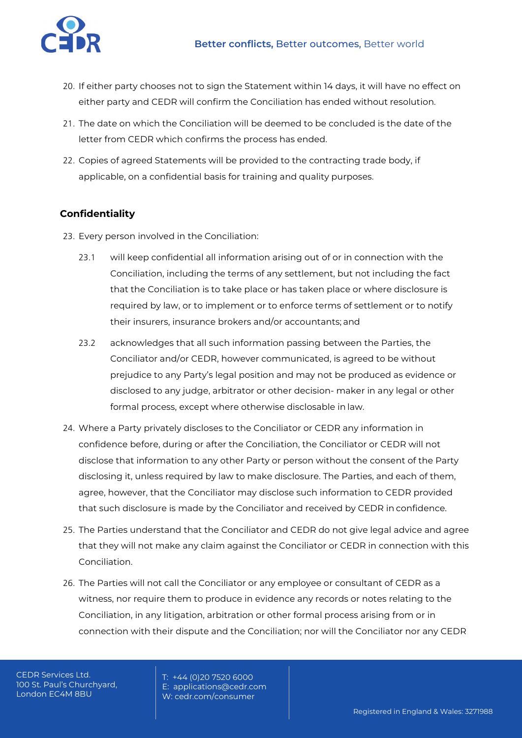

- 20. If either party chooses not to sign the Statement within 14 days, it will have no effect on either party and CEDR will confirm the Conciliation has ended without resolution.
- 21. The date on which the Conciliation will be deemed to be concluded is the date of the letter from CEDR which confirms the process has ended.
- 22. Copies of agreed Statements will be provided to the contracting trade body, if applicable, on a confidential basis for training and quality purposes.

# **Confidentiality**

- 23. Every person involved in the Conciliation:
	- 23.1 will keep confidential all information arising out of or in connection with the Conciliation, including the terms of any settlement, but not including the fact that the Conciliation is to take place or has taken place or where disclosure is required by law, or to implement or to enforce terms of settlement or to notify their insurers, insurance brokers and/or accountants; and
	- 23.2 acknowledges that all such information passing between the Parties, the Conciliator and/or CEDR, however communicated, is agreed to be without prejudice to any Party's legal position and may not be produced as evidence or disclosed to any judge, arbitrator or other decision- maker in any legal or other formal process, except where otherwise disclosable in law.
- 24. Where a Party privately discloses to the Conciliator or CEDR any information in confidence before, during or after the Conciliation, the Conciliator or CEDR will not disclose that information to any other Party or person without the consent of the Party disclosing it, unless required by law to make disclosure. The Parties, and each of them, agree, however, that the Conciliator may disclose such information to CEDR provided that such disclosure is made by the Conciliator and received by CEDR in confidence.
- 25. The Parties understand that the Conciliator and CEDR do not give legal advice and agree that they will not make any claim against the Conciliator or CEDR in connection with this Conciliation.
- 26. The Parties will not call the Conciliator or any employee or consultant of CEDR as a witness, nor require them to produce in evidence any records or notes relating to the Conciliation, in any litigation, arbitration or other formal process arising from or in connection with their dispute and the Conciliation; nor will the Conciliator nor any CEDR